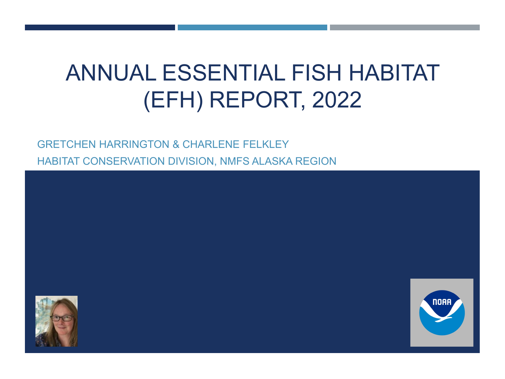# ANNUAL ESSENTIAL FISH HABITAT (EFH) REPORT, 2022

GRETCHEN HARRINGTON & CHARLENE FELKLEY HABITAT CONSERVATION DIVISION, NMFS ALASKA REGION



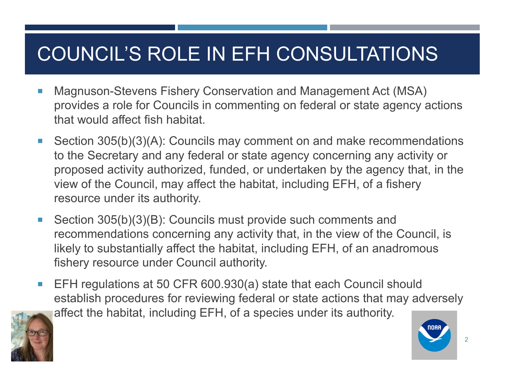## COUNCIL'S ROLE IN EFH CONSULTATIONS

- Magnuson-Stevens Fishery Conservation and Management Act (MSA) provides a role for Councils in commenting on federal or state agency actions that would affect fish habitat.
- Section 305(b)(3)(A): Councils may comment on and make recommendations to the Secretary and any federal or state agency concerning any activity or proposed activity authorized, funded, or undertaken by the agency that, in the view of the Council, may affect the habitat, including EFH, of a fishery resource under its authority.
- Section 305(b)(3)(B): Councils must provide such comments and recommendations concerning any activity that, in the view of the Council, is likely to substantially affect the habitat, including EFH, of an anadromous fishery resource under Council authority.
- EFH regulations at 50 CFR 600.930(a) state that each Council should establish procedures for reviewing federal or state actions that may adversely affect the habitat, including EFH, of a species under its authority.



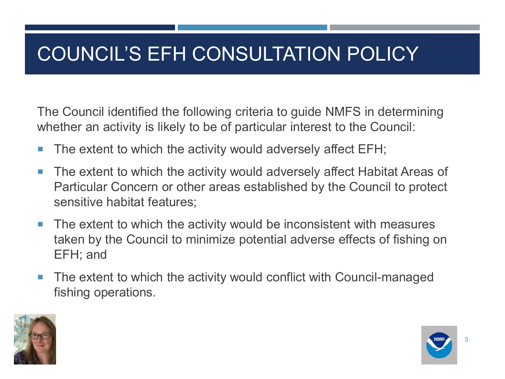## COUNCIL'S EFH CONSULTATION POLICY

The Council identified the following criteria to guide NMFS in determining whether an activity is likely to be of particular interest to the Council:

- The extent to which the activity would adversely affect EFH;
- The extent to which the activity would adversely affect Habitat Areas of Particular Concern or other areas established by the Council to protect sensitive habitat features;
- The extent to which the activity would be inconsistent with measures taken by the Council to minimize potential adverse effects of fishing on EFH; and
- The extent to which the activity would conflict with Council-managed fishing operations.



3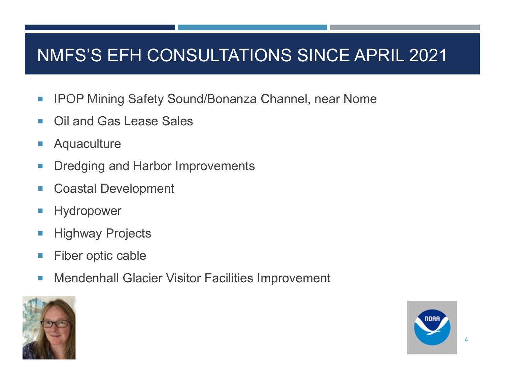### NMFS'S EFH CONSULTATIONS SINCE APRIL 2021

- **IFOP Mining Safety Sound/Bonanza Channel, near Nome**
- Oil and Gas Lease Sales
- **Aquaculture**
- **Dredging and Harbor Improvements**
- Coastal Development
- **Hydropower**
- **Highway Projects**
- **Fiber optic cable**
- Mendenhall Glacier Visitor Facilities Improvement





4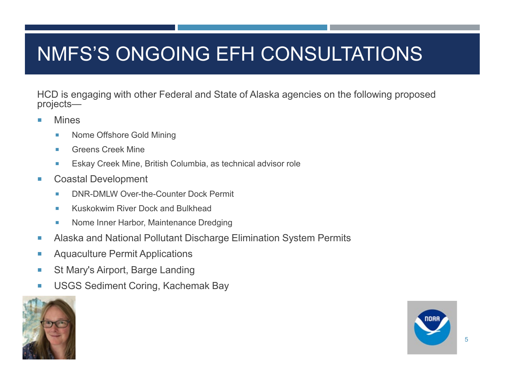## NMFS'S ONGOING EFH CONSULTATIONS

HCD is engaging with other Federal and State of Alaska agencies on the following proposed projects—

- **Mines** 
	- **Nome Offshore Gold Mining**
	- **Greens Creek Mine**
	- **Eskay Creek Mine, British Columbia, as technical advisor role**
- **Coastal Development** 
	- DNR-DMLW Over-the-Counter Dock Permit
	- Kuskokwim River Dock and Bulkhead
	- **Nome Inner Harbor, Maintenance Dredging**
- Alaska and National Pollutant Discharge Elimination System Permits
- **Aquaculture Permit Applications**
- St Mary's Airport, Barge Landing
- **USGS Sediment Coring, Kachemak Bay**



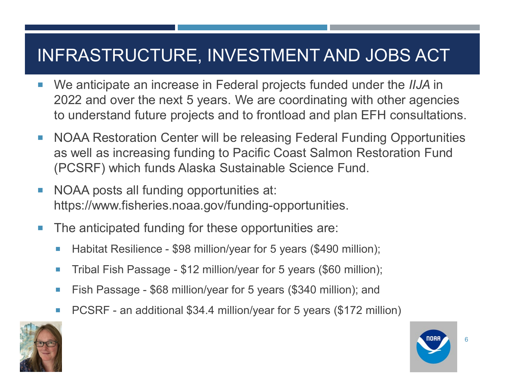#### INFRASTRUCTURE, INVESTMENT AND JOBS ACT

- We anticipate an increase in Federal projects funded under the *IIJA* in 2022 and over the next 5 years. We are coordinating with other agencies to understand future projects and to frontload and plan EFH consultations.
- NOAA Restoration Center will be releasing Federal Funding Opportunities as well as increasing funding to Pacific Coast Salmon Restoration Fund (PCSRF) which funds Alaska Sustainable Science Fund.
- NOAA posts all funding opportunities at: https://www.fisheries.noaa.gov/funding-opportunities.
- The anticipated funding for these opportunities are:
	- Habitat Resilience \$98 million/year for 5 years (\$490 million);
	- Tribal Fish Passage \$12 million/year for 5 years (\$60 million);
	- Fish Passage \$68 million/year for 5 years (\$340 million); and
	- PCSRF an additional \$34.4 million/year for 5 years (\$172 million)



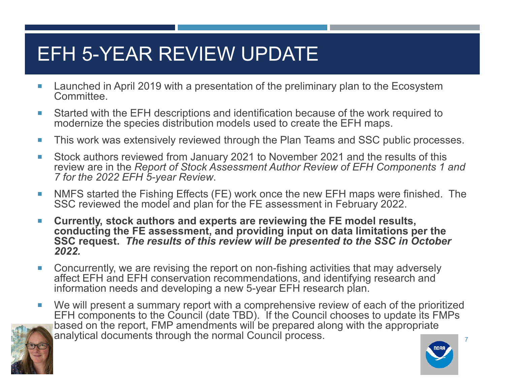### EFH 5-YEAR REVIEW UPDATE

- **Launched in April 2019 with a presentation of the preliminary plan to the Ecosystem** Committee.
- Started with the EFH descriptions and identification because of the work required to modernize the species distribution models used to create the EFH maps.
- **This work was extensively reviewed through the Plan Teams and SSC public processes.**
- Stock authors reviewed from January 2021 to November 2021 and the results of this review are in the *Report of Stock Assessment Author Review of EFH Components 1 and 7 for the 2022 EFH 5-year Review*.
- **NMFS started the Fishing Effects (FE) work once the new EFH maps were finished. The** SSC reviewed the model and plan for the FE assessment in February 2022.
- **Currently, stock authors and experts are reviewing the FE model results, conducting the FE assessment, and providing input on data limitations per the SSC request.** *The results of this review will be presented to the SSC in October 2022.*
- Concurrently, we are revising the report on non-fishing activities that may adversely affect EFH and EFH conservation recommendations, and identifying research and information needs and developing a new 5-year EFH research plan.
- 7 ■ We will present a summary report with a comprehensive review of each of the prioritized EFH components to the Council (date TBD). If the Council chooses to update its FMPs based on the report, FMP amendments will be prepared along with the appropriate analytical documents through the normal Council process.



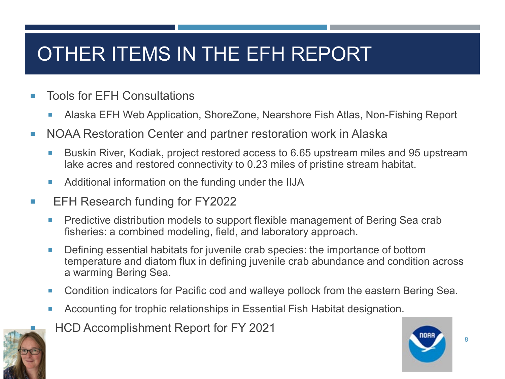## OTHER ITEMS IN THE EFH REPORT

- Tools for EFH Consultations
	- Alaska EFH Web Application, ShoreZone, Nearshore Fish Atlas, Non-Fishing Report
- NOAA Restoration Center and partner restoration work in Alaska
	- Buskin River, Kodiak, project restored access to 6.65 upstream miles and 95 upstream lake acres and restored connectivity to 0.23 miles of pristine stream habitat.
	- **Additional information on the funding under the IIJA**
- **EFH Research funding for FY2022** 
	- **Predictive distribution models to support flexible management of Bering Sea crab** fisheries: a combined modeling, field, and laboratory approach.
	- Defining essential habitats for juvenile crab species: the importance of bottom temperature and diatom flux in defining juvenile crab abundance and condition across a warming Bering Sea.
	- **Condition indicators for Pacific cod and walleye pollock from the eastern Bering Sea.**
	- Accounting for trophic relationships in Essential Fish Habitat designation.
- HCD Accomplishment Report for FY 2021